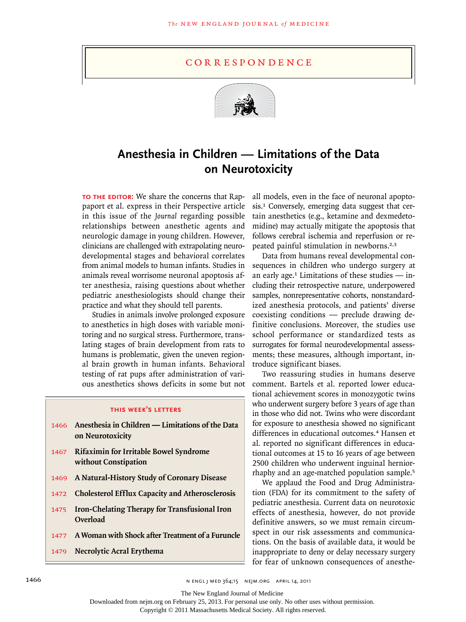## c o r r e s p o n d e n c e



## **Anesthesia in Children — Limitations of the Data on Neurotoxicity**

**TO THE EDITOR:** We share the concerns that Rappaport et al. express in their Perspective article in this issue of the *Journal* regarding possible relationships between anesthetic agents and neurologic damage in young children. However, clinicians are challenged with extrapolating neurodevelopmental stages and behavioral correlates from animal models to human infants. Studies in animals reveal worrisome neuronal apoptosis after anesthesia, raising questions about whether pediatric anesthesiologists should change their practice and what they should tell parents.

Studies in animals involve prolonged exposure to anesthetics in high doses with variable monitoring and no surgical stress. Furthermore, translating stages of brain development from rats to humans is problematic, given the uneven regional brain growth in human infants. Behavioral testing of rat pups after administration of various anesthetics shows deficits in some but not

## **this week's letters**

- 1466 **Anesthesia in Children — Limitations of the Data on Neurotoxicity**
- 1467 **Rifaximin for Irritable Bowel Syndrome without Constipation**
- 1469 **A Natural-History Study of Coronary Disease**
- 1472 **Cholesterol Efflux Capacity and Atherosclerosis**
- 1475 **Iron-Chelating Therapy for Transfusional Iron Overload**
- 1477 **A Woman with Shock after Treatment of a Furuncle**
- 1479 **Necrolytic Acral Erythema**

all models, even in the face of neuronal apoptosis.1 Conversely, emerging data suggest that certain anesthetics (e.g., ketamine and dexmedetomidine) may actually mitigate the apoptosis that follows cerebral ischemia and reperfusion or repeated painful stimulation in newborns.2,3

Data from humans reveal developmental consequences in children who undergo surgery at an early age.<sup>1</sup> Limitations of these studies  $-$  including their retrospective nature, underpowered samples, nonrepresentative cohorts, nonstandardized anesthesia protocols, and patients' diverse coexisting conditions — preclude drawing definitive conclusions. Moreover, the studies use school performance or standardized tests as surrogates for formal neurodevelopmental assessments; these measures, although important, introduce significant biases.

Two reassuring studies in humans deserve comment. Bartels et al. reported lower educational achievement scores in monozygotic twins who underwent surgery before 3 years of age than in those who did not. Twins who were discordant for exposure to anesthesia showed no significant differences in educational outcomes.<sup>4</sup> Hansen et al. reported no significant differences in educational outcomes at 15 to 16 years of age between 2500 children who underwent inguinal herniorrhaphy and an age-matched population sample.<sup>5</sup>

We applaud the Food and Drug Administration (FDA) for its commitment to the safety of pediatric anesthesia. Current data on neurotoxic effects of anesthesia, however, do not provide definitive answers, so we must remain circumspect in our risk assessments and communications. On the basis of available data, it would be inappropriate to deny or delay necessary surgery for fear of unknown consequences of anesthe-

The New England Journal of Medicine

Downloaded from nejm.org on February 25, 2013. For personal use only. No other uses without permission.

Copyright © 2011 Massachusetts Medical Society. All rights reserved.